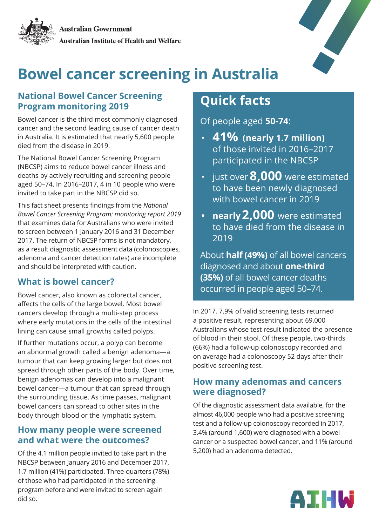

# **Bowel cancer screening in Australia**

### **National Bowel Cancer Screening Program monitoring 2019**

Bowel cancer is the third most commonly diagnosed cancer and the second leading cause of cancer death in Australia. It is estimated that nearly 5,600 people died from the disease in 2019.

The National Bowel Cancer Screening Program (NBCSP) aims to reduce bowel cancer illness and deaths by actively recruiting and screening people aged 50–74. In 2016–2017, 4 in 10 people who were invited to take part in the NBCSP did so.

This fact sheet presents findings from the *National Bowel Cancer Screening Program: monitoring report 2019* that examines data for Australians who were invited to screen between 1 January 2016 and 31 December 2017. The return of NBCSP forms is not mandatory, as a result diagnostic assessment data (colonoscopies, adenoma and cancer detection rates) are incomplete and should be interpreted with caution.

# **What is bowel cancer?**

Bowel cancer, also known as colorectal cancer, affects the cells of the large bowel. Most bowel cancers develop through a multi-step process where early mutations in the cells of the intestinal lining can cause small growths called polyps.

If further mutations occur, a polyp can become an abnormal growth called a benign adenoma—a tumour that can keep growing larger but does not spread through other parts of the body. Over time, benign adenomas can develop into a malignant bowel cancer—a tumour that can spread through the surrounding tissue. As time passes, malignant bowel cancers can spread to other sites in the body through blood or the lymphatic system.

### **How many people were screened and what were the outcomes?**

Of the 4.1 million people invited to take part in the NBCSP between January 2016 and December 2017, 1.7 million (41%) participated. Three-quarters (78%) of those who had participated in the screening program before and were invited to screen again did so.

# **Quick facts**

Of people aged **50-74**:

- **(nearly 1.7 million) 41%** of those invited in 2016–2017 participated in the NBCSP
- just over **8,000** were estimated to have been newly diagnosed with bowel cancer in 2019
- **nearly 2,000** were estimated to have died from the disease in 2019

About **half (49%)** of all bowel cancers diagnosed and about **one-third (35%)** of all bowel cancer deaths occurred in people aged 50–74.

In 2017, 7.9% of valid screening tests returned a positive result, representing about 69,000 Australians whose test result indicated the presence of blood in their stool. Of these people, two-thirds (66%) had a follow-up colonoscopy recorded and on average had a colonoscopy 52 days after their positive screening test.

## **How many adenomas and cancers were diagnosed?**

Of the diagnostic assessment data available, for the almost 46,000 people who had a positive screening test and a follow-up colonoscopy recorded in 2017, 3.4% (around 1,600) were diagnosed with a bowel cancer or a suspected bowel cancer, and 11% (around 5,200) had an adenoma detected.